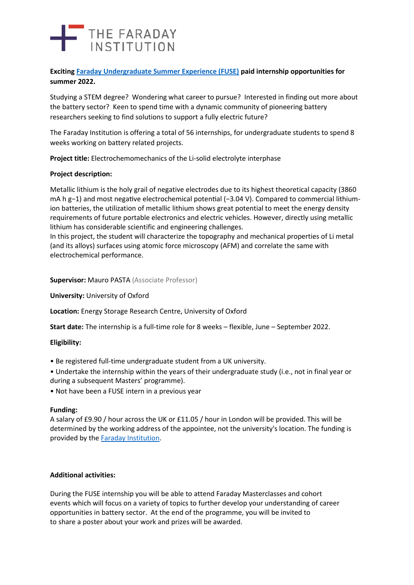# THE FARADAY

### **Exciting [Faraday Undergraduate Summer Experience \(FUSE\)](https://www.faraday.ac.uk/fuse-2022/) paid internship opportunities for summer 2022.**

Studying a STEM degree? Wondering what career to pursue? Interested in finding out more about the battery sector? Keen to spend time with a dynamic community of pioneering battery researchers seeking to find solutions to support a fully electric future?

The Faraday Institution is offering a total of 56 internships, for undergraduate students to spend 8 weeks working on battery related projects.

**Project title:** Electrochemomechanics of the Li-solid electrolyte interphase

#### **Project description:**

Metallic lithium is the holy grail of negative electrodes due to its highest theoretical capacity (3860 mA h g-1) and most negative electrochemical potential (-3.04 V). Compared to commercial lithiumion batteries, the utilization of metallic lithium shows great potential to meet the energy density requirements of future portable electronics and electric vehicles. However, directly using metallic lithium has considerable scientific and engineering challenges.

In this project, the student will characterize the topography and mechanical properties of Li metal (and its alloys) surfaces using atomic force microscopy (AFM) and correlate the same with electrochemical performance.

**Supervisor:** Mauro PASTA (Associate Professor)

**University:** University of Oxford

**Location:** Energy Storage Research Centre, University of Oxford

**Start date:** The internship is a full-time role for 8 weeks – flexible, June – September 2022.

# **Eligibility:**

- Be registered full-time undergraduate student from a UK university.
- Undertake the internship within the years of their undergraduate study (i.e., not in final year or during a subsequent Masters' programme).
- Not have been a FUSE intern in a previous year

#### **Funding:**

A salary of £9.90 / hour across the UK or £11.05 / hour in London will be provided. This will be determined by the working address of the appointee, not the university's location. The funding is provided by the [Faraday Institution.](https://www.faraday.ac.uk/)

# **Additional activities:**

During the FUSE internship you will be able to attend Faraday Masterclasses and cohort events which will focus on a variety of topics to further develop your understanding of career opportunities in battery sector. At the end of the programme, you will be invited to to share a poster about your work and prizes will be awarded.